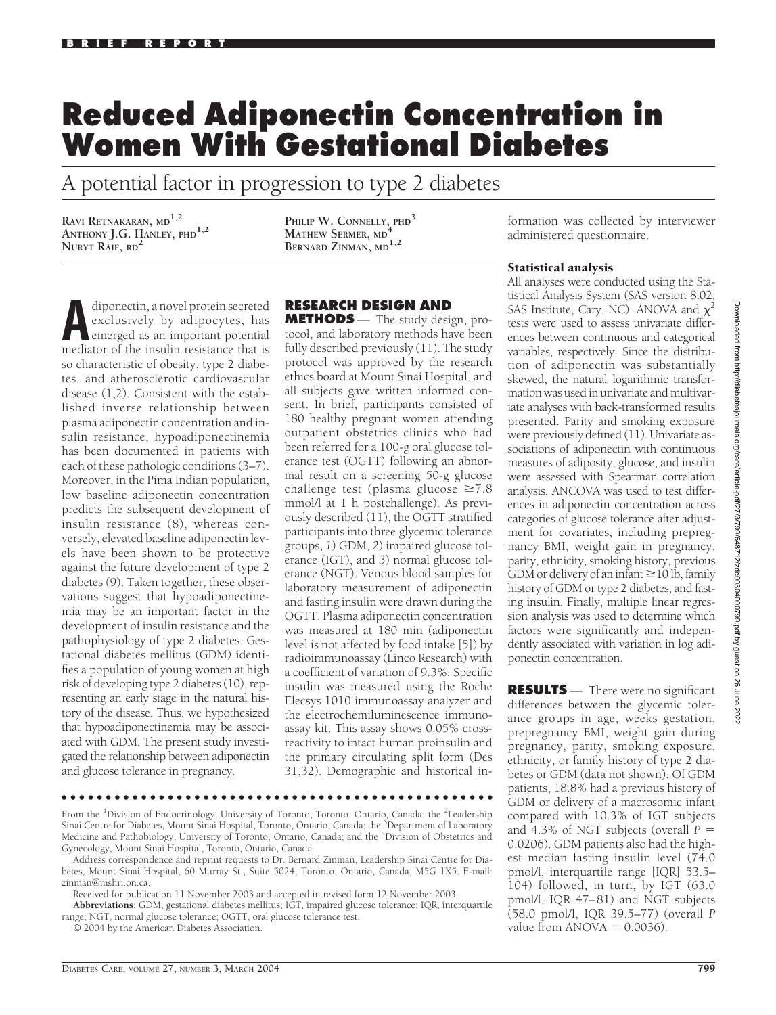## **Reduced Adiponectin Concentration in Women With Gestational Diabetes**

A potential factor in progression to type 2 diabetes

**RAVI RETNAKARAN, MD1,2 ANTHONY J.G. HANLEY, PHD1,2 NURYT RAIF, RD<sup>2</sup>**

**PHILIP W. CONNELLY, PHD<sup>3</sup> MATHEW SERMER, MD<sup>4</sup> BERNARD ZINMAN, MD1,2**

diponectin, a novel protein secreted<br>exclusively by adipocytes, has<br>emerged as an important potential<br>mediator of the inculin recistance that is exclusively by adipocytes, has emerged as an important potential mediator of the insulin resistance that is so characteristic of obesity, type 2 diabetes, and atherosclerotic cardiovascular disease (1,2). Consistent with the established inverse relationship between plasma adiponectin concentration and insulin resistance, hypoadiponectinemia has been documented in patients with each of these pathologic conditions (3–7). Moreover, in the Pima Indian population, low baseline adiponectin concentration predicts the subsequent development of insulin resistance (8), whereas conversely, elevated baseline adiponectin levels have been shown to be protective against the future development of type 2 diabetes (9). Taken together, these observations suggest that hypoadiponectinemia may be an important factor in the development of insulin resistance and the pathophysiology of type 2 diabetes. Gestational diabetes mellitus (GDM) identifies a population of young women at high risk of developing type 2 diabetes (10), representing an early stage in the natural history of the disease. Thus, we hypothesized that hypoadiponectinemia may be associated with GDM. The present study investigated the relationship between adiponectin and glucose tolerance in pregnancy.

## **RESEARCH DESIGN AND**

**METHODS** — The study design, protocol, and laboratory methods have been fully described previously (11). The study protocol was approved by the research ethics board at Mount Sinai Hospital, and all subjects gave written informed consent. In brief, participants consisted of 180 healthy pregnant women attending outpatient obstetrics clinics who had been referred for a 100-g oral glucose tolerance test (OGTT) following an abnormal result on a screening 50-g glucose challenge test (plasma glucose  $\geq 7.8$ mmol/l at 1 h postchallenge). As previously described (11), the OGTT stratified participants into three glycemic tolerance groups, *1*) GDM, *2*) impaired glucose tolerance (IGT), and *3*) normal glucose tolerance (NGT). Venous blood samples for laboratory measurement of adiponectin and fasting insulin were drawn during the OGTT. Plasma adiponectin concentration was measured at 180 min (adiponectin level is not affected by food intake [5]) by radioimmunoassay (Linco Research) with a coefficient of variation of 9.3%. Specific insulin was measured using the Roche Elecsys 1010 immunoassay analyzer and the electrochemiluminescence immunoassay kit. This assay shows 0.05% crossreactivity to intact human proinsulin and the primary circulating split form (Des 31,32). Demographic and historical in-

formation was collected by interviewer administered questionnaire.

## Statistical analysis

All analyses were conducted using the Statistical Analysis System (SAS version 8.02; SAS Institute, Cary, NC). ANOVA and  $\chi^2$ tests were used to assess univariate differences between continuous and categorical variables, respectively. Since the distribution of adiponectin was substantially skewed, the natural logarithmic transformation was used in univariate and multivariate analyses with back-transformed results presented. Parity and smoking exposure were previously defined (11). Univariate associations of adiponectin with continuous measures of adiposity, glucose, and insulin were assessed with Spearman correlation analysis. ANCOVA was used to test differences in adiponectin concentration across categories of glucose tolerance after adjustment for covariates, including prepregnancy BMI, weight gain in pregnancy, parity, ethnicity, smoking history, previous GDM or delivery of an infant  $\geq$  10 lb, family history of GDM or type 2 diabetes, and fasting insulin. Finally, multiple linear regression analysis was used to determine which factors were significantly and independently associated with variation in log adiponectin concentration.

**RESULTS** — There were no significant differences between the glycemic tolerance groups in age, weeks gestation, prepregnancy BMI, weight gain during pregnancy, parity, smoking exposure, ethnicity, or family history of type 2 diabetes or GDM (data not shown). Of GDM patients, 18.8% had a previous history of GDM or delivery of a macrosomic infant compared with 10.3% of IGT subjects and 4.3% of NGT subjects (overall  $P =$ 0.0206). GDM patients also had the highest median fasting insulin level (74.0 pmol/l, interquartile range [IQR] 53.5– 104) followed, in turn, by IGT (63.0 pmol/l, IQR 47–81) and NGT subjects (58.0 pmol/l, IQR 39.5–77) (overall *P* value from  $ANOVA = 0.0036$ ).

●●●●●●●●●●●●●●●●●●●●●●●●●●●●●●●●●●●●●●●●●●●●●●●●●

From the <sup>1</sup>Division of Endocrinology, University of Toronto, Toronto, Ontario, Canada; the <sup>2</sup>Leadership Sinai Centre for Diabetes, Mount Sinai Hospital, Toronto, Ontario, Canada; the <sup>3</sup>Department of Laboratory Medicine and Pathobiology, University of Toronto, Ontario, Canada; and the <sup>4</sup>Division of Obstetrics and Gynecology, Mount Sinai Hospital, Toronto, Ontario, Canada.

Received for publication 11 November 2003 and accepted in revised form 12 November 2003.

**Abbreviations:** GDM, gestational diabetes mellitus; IGT, impaired glucose tolerance; IQR, interquartile range; NGT, normal glucose tolerance; OGTT, oral glucose tolerance test.

© 2004 by the American Diabetes Association.

Address correspondence and reprint requests to Dr. Bernard Zinman, Leadership Sinai Centre for Diabetes, Mount Sinai Hospital, 60 Murray St., Suite 5024, Toronto, Ontario, Canada, M5G 1X5. E-mail: zinman@mshri.on.ca